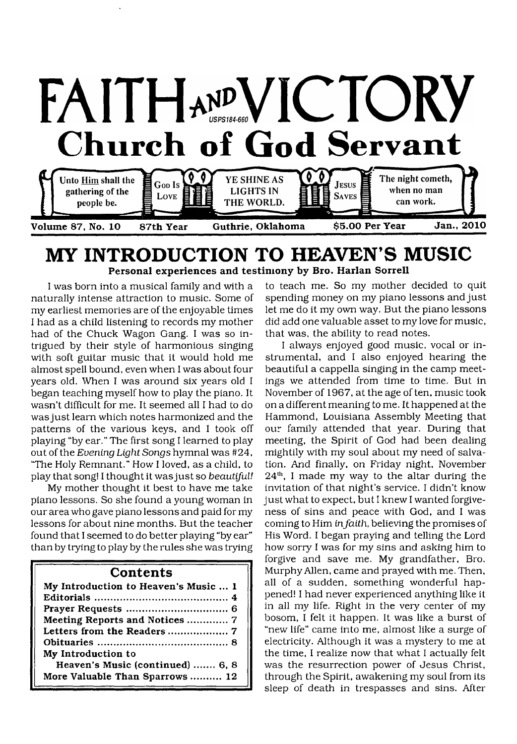

# **MY INTRODUCTION TO HEAVEN'S MUSIC** Personal experiences and testimony by Bro. Harlan Sorrell

I was born into a musical family and with a naturally intense attraction to music. Some of my earliest memories are of the enjoyable times I had as a child listening to records my mother had of the Chuck Wagon Gang. I was so intrigued by their style of harmonious singing with soft guitar music that it would hold me almost spell bound, even when I was about four years old. When I was around six years old I began teaching myself how to play the piano. It wasn't difficult for me. It seemed all I had to do was just learn which notes harmonized and the patterns of the various keys, and I took off playing "by ear." The first song I learned to play out of the *Evening Light Songs* hymnal was #24, "The Holy Remnant." How I loved, as a child, to play that song! I thought it was just so *beautiful!*

My mother thought it best to have me take piano lessons. So she found a young woman in our area who gave piano lessons and paid for my lessons for about nine months. But the teacher found that I seemed to do better playing "by ear" than by trying to play by the rules she was trying

#### **Contents**

| My Introduction to Heaven's Music  1 |
|--------------------------------------|
|                                      |
|                                      |
| Meeting Reports and Notices  7       |
| Letters from the Readers  7          |
|                                      |
| My Introduction to                   |
| Heaven's Music (continued)  6, 8     |
| More Valuable Than Sparrows  12      |

to teach me. So my mother decided to quit spending money on my piano lessons and just let me do it my own way. But the piano lessons did add one valuable asset to my love for music, that was, the ability to read notes.

I always enjoyed good music, vocal or instrumental, and I also enjoyed hearing the beautiful a cappella singing in the camp meetings we attended from time to time. But in November of 1967, at the age of ten, music took on a different meaning to me. It happened at the Hammond, Louisiana Assembly Meeting that our family attended that year. During that meeting, the Spirit of God had been dealing mightily with my soul about my need of salvation. And finally, on Friday night, November  $24<sup>th</sup>$ , I made my way to the altar during the invitation of that night's service. I didn't know just what to expect, but I knew I wanted forgiveness of sins and peace with God, and I was coming to Him *infaith,* believing the promises of His Word. I began praying and telling the Lord how sorry I was for my sins and asking him to forgive and save me. My grandfather, Bro. Murphy Allen, came and prayed with me. Then, all of a sudden, something wonderful happened! I had never experienced anything like it in all my life. Right in the very center of my bosom, I felt it happen. It was like a burst of "new life" came into me, almost like a surge of electricity. Although it was a mystery to me at the time, I realize now that what I actually felt was the resurrection power of Jesus Christ, through the Spirit, awakening my soul from its sleep of death in trespasses and sins. After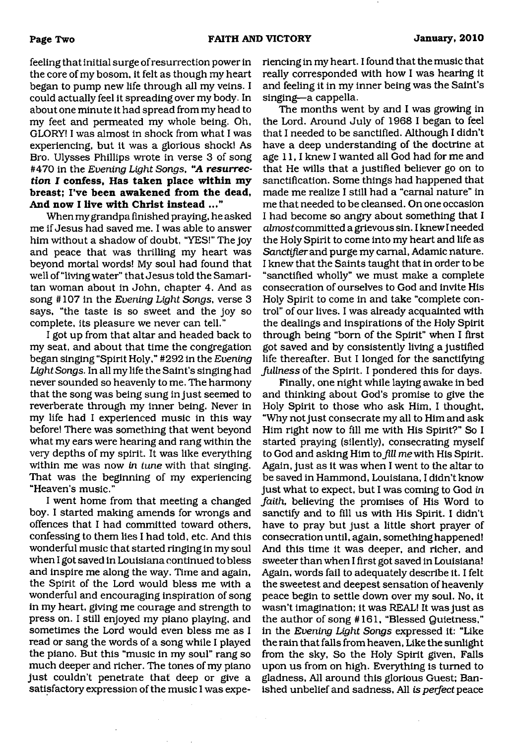feeling that initial surge of resurrection power in the core of my bosom, it felt as though my heart began to pump new life through all my veins. I could actually feel it spreading over my body. In about one minute it had spread from my head to my feet and permeated my whole being. Oh, GLORY! I was almost in shock from what I was experiencing, but it was a glorious shock! As Bro. Ulysses Phillips wrote in verse 3 of song #470 in the *Evening Light Songs*, "A *resurrection I* **confess, Has taken place within my breast; I've been awakened from the dead, And now I live with Christ instead ..."**

When my grandpa finished praying, he asked me if Jesus had saved me. I was able to answer him without a shadow of doubt, "YES!" The joy and peace that was thrilling my heart was beyond mortal words! My soul had found that well of "living water" that Jesus told the Samaritan woman about in John, chapter 4. And as song #107 in the *Evening* Light *Songs,* verse 3 says, "the taste is so sweet and the joy so complete, its pleasure we never can tell."

I got up from that altar and headed back to my seat, and about that time the congregation began singing "Spirit Holy," #292 in the *Evening Light Songs.* In all my life the Saint's singing had never sounded so heavenly to me. The harmony that the song was being sung in just seemed to reverberate through my inner being. Never in my life had I experienced music in this way before! There was something that went beyond what my ears were hearing and rang within the very depths of my spirit. It was like everything within me was now *in tune* with that singing. That was the beginning of my experiencing "Heaven's music."

I went home from that meeting a changed boy. I started making amends for wrongs and offences that I had committed toward others, confessing to them lies I had told, etc. And this wonderful music that started ringing in my soul when I got saved in Louisiana continued to bless and inspire me along the way. Time and again, the Spirit of the Lord would bless me with a wonderful and encouraging inspiration of song in my heart, giving me courage and strength to press on. I still enjoyed my piano playing, and sometimes the Lord would even bless me as I read or sang the words of a song while I played the piano. But this "music in my soul" rang so much deeper and richer. The tones of my piano just couldn't penetrate that deep or give a satisfactory expression of the music I was experiencing in my heart. I found that the music that really corresponded with how I was hearing it and feeling it in my inner being was the Saint's singing—a cappella.

The months went by and I was growing in the Lord. Around July of 1968 I began to feel that I needed to be sanctified. Although I didn't have a deep understanding of the doctrine at age 11, I knew I wanted all God had for me and that He wills that a justified believer go on to sanctification. Some things had happened that made me realize I still had a "carnal nature" in me that needed to be cleansed. On one occasion I had become so angry about something that I almostcommitted a grievous sin. I knew I needed the Holy Spirit to come into my heart and life as *Sanctifier* and purge my carnal, Adamic nature. I knew that the Saints taught that in order to be "sanctified wholly" we must make a complete consecration of ourselves to God and invite His Holy Spirit to come in and take "complete control" of our lives. I was already acquainted with the dealings and inspirations of the Holy Spirit through being "born of the Spirit" when I first got saved and by consistently living a justified life thereafter. But I longed for the sanctifying *fullness* of the Spirit. I pondered this for days.

Finally, one night while laying awake in bed and thinking about God's promise to give the Holy Spirit to those who ask Him, I thought, "Why not just consecrate my all to Him and ask Him right now to fill me with His Spirit?" So I started praying (silently), consecrating myself to God and asking Him to *Jill* me with His Spirit. Again, just as it was when I went to the altar to be saved in Hammond, Louisiana, I didn't know just what to expect, but I was coming to God in *faith,* believing the promises of His Word to sanctify and to fill us with His Spirit. I didn't have to pray but just a little short prayer of consecration until, again, something happened! And this time it was deeper, and richer, and sweeter than when I first got saved in Louisiana! Again, words fail to adequately describe it. I felt the sweetest and deepest sensation of heavenly peace begin to settle down over my soul. No, it wasn't imagination; it was REAL! It was just as the author of song #161, "Blessed Quietness," in the *Evening Light Songs* expressed it: "Like the rain that falls from heaven, Like the sunlight from the sky, So the Holy Spirit given, Falls upon us from on high. Everything is turned to gladness, All around this glorious Guest; Banished unbelief and sadness, All *is perfect* peace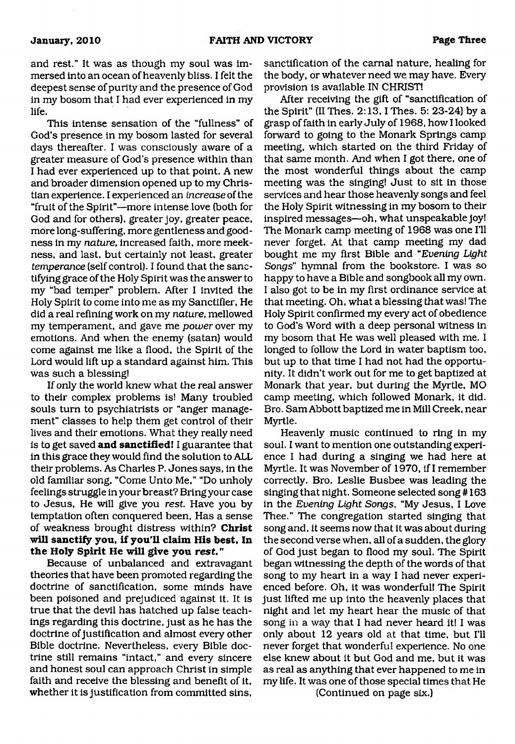and rest." It was as though my soul was immersed into an ocean of heavenly bliss. I felt the deepest sense of purity and the presence of God in my bosom that I had ever experienced in my life.

This intense sensation of the "fullness" of God's presence in my bosom lasted for several days thereafter. I was consciously aware of a greater measure of God's presence within than I had ever experienced up to that point. A new and broader dimension opened up to my Christian experience. I experienced an *increase* of the "fruit of the Spirit"—more intense love (both for God and for others), greater joy, greater peace, more long-suffering, more gentleness and goodness in my *nature,* increased faith, more meekness, and last, but certainly not least, greater *temperance* (self control). I found that the sanctifying grace of the Holy Spirit was the answer to my "bad temper" problem. After I invited the Holy Spirit to come into me as my Sanctifier, He did a real refining work on my *nature,* mellowed my temperament, and gave me *power* over my emotions. And when the enemy (satan) would come against me like a flood, the Spirit of the Lord would lift up a standard against him. This was such a blessing!

If only the world knew what the real answer to their complex problems is! Many troubled souls turn to psychiatrists or "anger management" classes to help them get control of their lives and their emotions. What they really need is to get saved **and sanctified!** I guarantee that in this grace they would find the solution to ALL their problems. As Charles P. Jones says, in the old familiar song, "Come Unto Me," "Do unholy feelings struggle in your breast? Bring your case to Jesus, He will give you *rest* Have you by temptation often conquered been, Has a sense of weakness brought distress within? **Christ will sanctify you, if you'll claim His best. In the Holy Spirit He will give you rest."**

Because of unbalanced and extravagant theories that have been promoted regarding the doctrine of sanctification, some minds have been poisoned and prejudiced against it. It is true that the devil has hatched up false teachings regarding this doctrine, just as he has the doctrine of justification and almost every other Bible doctrine. Nevertheless, every Bible doctrine still remains "intact," and every sincere and honest soul can approach Christ in simple faith and receive the blessing and benefit of it, whether it is justification from committed sins,

sanctification of the carnal nature, healing for the body, or whatever need we may have. Every provision is available IN CHRIST!

After receiving the gift of "sanctification of the Spirit" (II Thes.  $2:13$ , I Thes.  $5: 23-24$ ) by a grasp of faith in early July of 1968, how I looked forward to going to the Monark Springs camp meeting, which started on the third Friday of that same month. And when I got there, one of the most wonderful things about the camp meeting was the singing! Just to sit in those services and hear those heavenly songs and feel the Holy Spirit witnessing in my bosom to their inspired messages—oh, what unspeakable joy! The Monark camp meeting of 1968 was one I'll never forget. At that camp meeting my dad bought me my first Bible and "*Evening Light Songs*" hymnal from the bookstore. I was so happy to have a Bible and songbook all my own. I also got to be in my first ordinance service at that meeting. Oh, what a blessing that was! The Holy Spirit confirmed my every act of obedience to God's Word with a deep personal witness in my bosom that He was well pleased with me. I longed to follow the Lord in water baptism too, but up to that time I had not had the opportunity. It didn't work out for me to get baptized at Monark that year, but during the Myrtle, MO camp meeting, which followed Monark, it did. Bro. Sam Abbott baptized me in Mill Creek, near Myrtle.

Heavenly music continued to ring in my soul. I want to mention one outstanding experience I had during a singing we had here at Myrtle. It was November of 1970, if I remember correctly. Bro. Leslie Busbee was leading the singing that night. Someone selected song #163 in the *Evening Light Songs,* "My Jesus, I Love Thee." The congregation started singing that song and, it seems now that it was about during the second verse when, all of a sudden, the glory of God just began to flood my soul. The Spirit began witnessing the depth of the words of that song to my heart in a way I had never experienced before. Oh, it was wonderful! The Spirit just lifted me up into the heavenly places that night and let my heart hear the music of that song in a way that I had never heard it! I was only about 12 years old at that time, but I'll never forget that wonderful experience. No one else knew about it but God and me, but it was as real as anything that ever happened to me in my life. It was one of those special times that He

(Continued on page six.)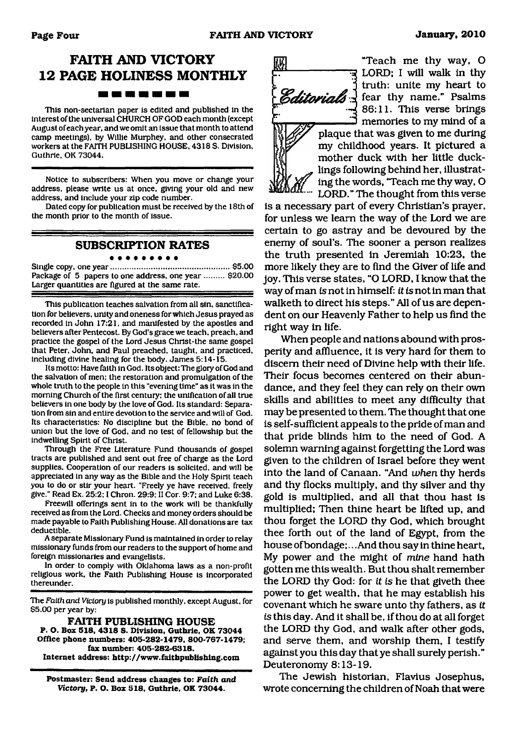## **FAITH AND VICTORY 12 PAGE HOLINESS MONTHLY** -----

This non-sectarian paper is edited and published in the interest of the universal CHURCH OF GOD each month (except August of each year, and we omit an issue that month to attend camp meetings), by Willie Murphey, and other consecrated workers at the FAITH PUBLISHING HOUSE. 4318 S. Division, Guthrie. OK 73044.

Notice to subscribers: When you move or change your address, please write us at once, giving your old and new address, and include your zip code number.

Dated copy for publication must be received by the 18th of the month prior to the month of issue.

#### **SUBSCRIPTION RATES** . . . . . . . . .

Single copy, one year......................................................\$5.00 Package of 5 papers to one address, one year ......... \$20.00 Larger quantities are figured at the same rate.

This publication teaches salvation from all sin. sanctification for believers, unity and oneness for which Jesus prayed as recorded in John 17:21, and manifested by the apostles and believers after Pentecost. By God's grace we teach, preach, and practice the gospel of the Lord Jesus Christ-the same gospel that Peter. John, and Paul preached, taught, and practiced, including divine healing for the body. James 5:14-15.

Its motto: Have faith in God. Its object: The glory of God and the salvation of men; the restoration and promulgation of the whole truth to the people in this "evening time" as it was in the morning Church of the first century: the unification of all true believers in one body by the love of God. Its standard: Separation from sin and entire devotion to the service and will of God. Its characteristics: No discipline but the Bible, no bond of union but the love of God, and no test of fellowship but the indwelling Spirit of Christ.

Through the Free Literature Fund thousands of gospel tracts are published and sent out free of charge as the Lord supplies. Cooperation of our readers is solicited, and will be appreciated in any way as the Bible and the Holy Spirit teach you to do or stir your heart. "Freely ye have received, freely give." Read Ex. 25:2; I Chron. 29:9: II Cor. 9:7: and Luke 6:38.

Freewill offerings sent in to the work will be thankfully received as from the Lord. Checks and money orders should be made payable to Faith Publishing House. All donations are tax deductible.

A separate Missionary Fund is maintained in order to relay missionary funds from our readers to the support of home and foreign missionaries and evangelists.

In order to comply with Oklahoma laws as a non-profit religious work, the Faith Publishing House is incorporated thereunder.

The *Faith and Victory* is published monthly, except August, for \$5.00 per year by:

**FAITH PUBLISHING HOUSE P. O. Box 518, 4318 S. Division, Guthrie, OK 73044 Office phone numbers: 405-282-1479, 800-767-1479; fax number: 405-282-6318. Internet address: <http://www.faithpublishing.com>**

**Postmaster: Send address changes to:** *Faith and Victory,* **P. O. Box 518, Guthrie. OK 73044.**



"Teach me thy way, O LORD; I will walk in thy truth: unite my heart to Editorials of fear thy name." Psalms 86:11. This verse brings  $\mathfrak I$  memories to my mind of a plaque that was given to me during my childhood years. It pictured a mother duck with her little duck-

\_ lings following behind her, illustrat- ' ing the words, 'Teach me thy way, O LORD." The thought from this verse

is a necessary part of every Christian's prayer, for unless we learn the way of the Lord we are certain to go astray and be devoured by the enemy of soul's. The sooner a person realizes the truth presented in Jeremiah 10:23, the more likely they are to find the Giver of life and joy. This verse states, "O LORD, I know that the way of man is not in himself: *it is* not in man that walketh to direct his steps." All of us are dependent on our Heavenly Father to help us find the right way in life.

When people and nations abound with prosperity and affluence, it is very hard for them to discern their need of Divine help with their life. Their focus becomes centered on their abundance, and they feel they can rely on their own skills and abilities to meet any difficulty that may be presented to them. The thought that one is self-sufficient appeals to the pride of man and that pride blinds him to the need of God. A solemn warning against forgetting the Lord was given to the children of Israel before they went into the land of Canaan. "And *when* thy herds and thy flocks multiply, and thy silver and thy gold is multiplied, and all that thou hast is multiplied; Then thine heart be lifted up, and thou forget the LORD thy God, which brought thee forth out of the land of Egypt, from the house of bondage;.. .And thou say in thine heart, My power and the might of *mine* hand hath gotten me this wealth. But thou shalt remember the LORD thy God: for *it is* he that giveth thee power to get wealth, that he may establish his covenant which he sware unto thy fathers, as *it is* this day. And it shall be, if thou do at all forget the LORD thy God, and walk after other gods, and serve them, and worship them, I testify against you this day that ye shall surely perish." Deuteronomy 8:13-19.

The Jewish historian, Flavius Josephus, wrote concerning the children of Noah that were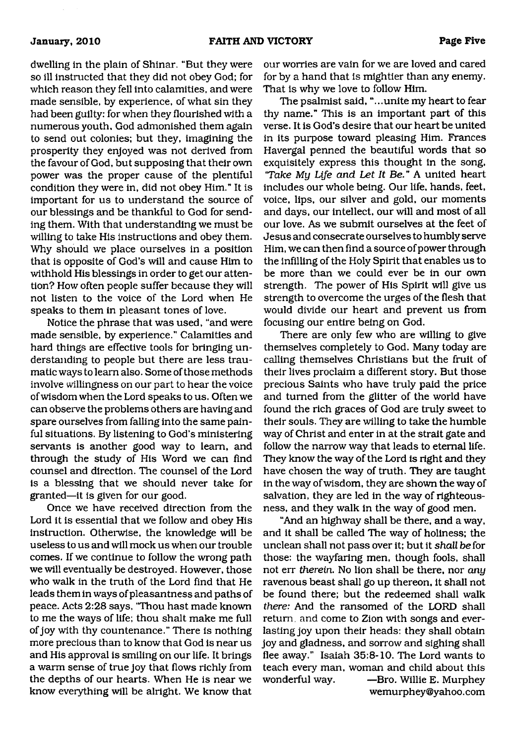dwelling in the plain of Shinar. "But they were so ill instructed that they did not obey God; for which reason they fell into calamities, and were made sensible, by experience, of what sin they had been guilty: for when they flourished with a numerous youth, God admonished them again to send out colonies; but they, imagining the prosperity they enjoyed was not derived from the favour of God, but supposing that their own power was the proper cause of the plentiful condition they were in, did not obey Him." It is important for us to understand the source of our blessings and be thankful to God for sending them. With that understanding we must be willing to take His instructions and obey them. Why should we place ourselves in a position that is opposite of God's will and cause Him to withhold His blessings in order to get our attention? How often people suffer because they will not listen to the voice of the Lord when He speaks to them in pleasant tones of love.

Notice the phrase that was used, "and were made sensible, by experience." Calamities and hard things are effective tools for bringing understanding to people but there are less traumatic ways to learn also. Some of those methods involve willingness on our part to hear the voice of wisdom when the Lord speaks to us. Often we can observe the problems others are having and spare ourselves from falling into the same painful situations. By listening to God's ministering servants is another good way to learn, and through the study of His Word we can find counsel and direction. The counsel of the Lord is a blessing that we should never take for granted—it is given for our good.

Once we have received direction from the Lord it is essential that we follow and obey His instruction. Otherwise, the knowledge will be useless to us and will mock us when our trouble comes. If we continue to follow the wrong path we will eventually be destroyed. However, those who walk in the truth of the Lord find that He leads them in ways of pleasantness and paths of peace. Acts 2:28 says, "Thou hast made known to me the ways of life; thou shalt make me full of joy with thy countenance." There is nothing more precious than to know that God is near us and His approval is smiling on our life. It brings a warm sense of true joy that flows richly from the depths of our hearts. When He is near we know everything will be alright. We know that

our worries are vain for we are loved and cared for by a hand that is mightier than any enemy. That is why we love to follow Him.

The psalmist said, ". ..unite my heart to fear thy name." This is an important part of this verse. It is God's desire that our heart be united in its purpose toward pleasing Him. Frances Havergal penned the beautiful words that so exquisitely express this thought in the song, *'Take My Life and Let It Be.* " A united heart includes our whole being. Our life, hands, feet, voice, lips, our silver and gold, our moments and days, our intellect, our will and most of all our love. As we submit ourselves at the feet of Jesus and consecrate ourselves to humbly serve Him, we can then find a source of power through the infilling of the Holy Spirit that enables us to be more than we could ever be in our own strength. The power of His Spirit will give us strength to overcome the urges of the flesh that would divide our heart and prevent us from focusing our entire being on God.

There are only few who are willing to give themselves completely to God. Many today are calling themselves Christians but the fruit of their lives proclaim a different story. But those precious Saints who have truly paid the price and turned from the glitter of the world have found the rich graces of God are truly sweet to their souls. They are willing to take the humble way of Christ and enter in at the strait gate and follow the narrow way that leads to eternal life. They know the way of the Lord is right and they have chosen the way of truth. They are taught in the way of wisdom, they are shown the way of salvation, they are led in the way of righteousness, and they walk in the way of good men.

"And an highway shall be there, and a way, and it shall be called The way of holiness; the unclean shall not pass over it; but it *shaU. be* for those: the wayfaring men, though fools, shall not err *therein.* No lion shall be there, nor *any* ravenous beast shall go up thereon, it shall not be found there; but the redeemed shall walk *there:* And the ransomed of the LORD shall return, and come to Zion with songs and everlasting joy upon their heads: they shall obtain joy and gladness, and sorrow and sighing shall flee away." Isaiah 35:8-10. The Lord wants to teach every man, woman and child about this wonderful way. — Bro. Willie E. Murphey [wemurphey@yahoo.com](mailto:wemurphey@yahoo.com)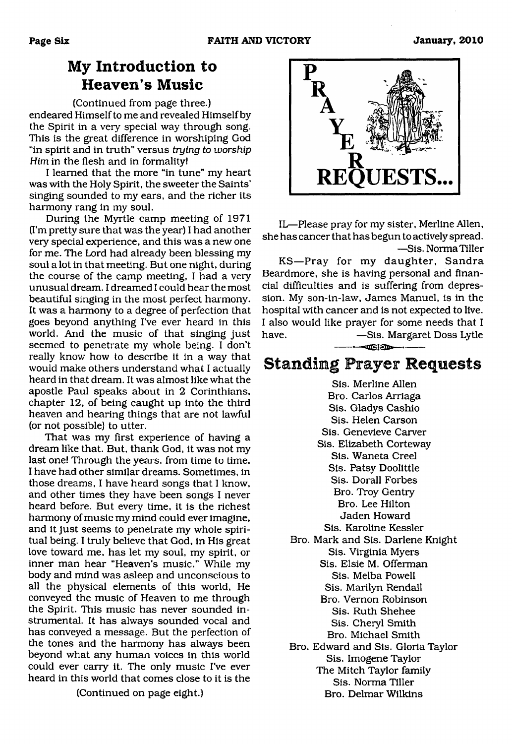# **My Introduction to Heaven's Music**

(Continued from page three.) endeared Himself to me and revealed Himself by the Spirit in a very special way through song. This is the great difference in worshiping God "in spirit and in truth" versus *trying to worship Him* in the flesh and in formality!

I learned that the more "in tune" my heart was with the Holy Spirit, the sweeter the Saints' singing sounded to my ears, and the richer its harmony rang in my soul.

During the Myrtle camp meeting of 1971 (I'm pretty sure that was the year) I had another very special experience, and this was a new one for me. The Lord had already been blessing my soul a lot in that meeting. But one night, during the course of the camp meeting, I had a very unusual dream. I dreamed I could hear the most beautiful singing in the most perfect harmony. It was a harmony to a degree of perfection that goes beyond anything I've ever heard in this world. And the music of that singing just seemed to penetrate my whole being. I don't really know how to describe it in a way that would make others understand what I actually heard in that dream. It was almost like what the apostle Paul speaks about in 2 Corinthians, chapter 12, of being caught up into the third heaven and hearing things that are not lawful (or not possible) to utter.

That was my first experience of having a dream like that. But, thank God, it was not my last one! Through the years, from time to time, I have had other similar dreams. Sometimes, in those dreams, I have heard songs that I know, and other times they have been songs I never heard before. But every time, it is the richest harmony of music my mind could ever imagine, and it just seems to penetrate my whole spiritual being. I truly believe that God, in His great love toward me, has let my soul, my spirit, or inner man hear "Heaven's music." While my body and mind was asleep and unconscious to all the physical elements of this world, He conveyed the music of Heaven to me through the Spirit. This music has never sounded instrumental. It has always sounded vocal and has conveyed a message. But the perfection of the tones and the harmony has always been beyond what any human voices in this world could ever carry it. The only music I've ever heard in this world that comes close to it is the

(Continued on page eight.)



IL—Please pray for my sister, Merline Allen, she has cancer that has begun to actively spread. —Sis. Norma Tiller

KS— Pray for my daughter, Sandra Beardmore, she is having personal and financial difficulties and is suffering from depression. My son-in-law, James Manuel, is in the hospital with cancer and is not expected to live. I also would like prayer for some needs that I have. — Sis. Margaret Doss Lytle  $-$ Ciod $-$ 

# **Standing Prayer Requests**

Sis. Merline Allen Bro. Carlos Arriaga Sis. Gladys Cashio Sis. Helen Carson Sis. Genevieve Carver Sis. Elizabeth Corteway Sis. Waneta Creel Sis. Patsy Doolittle Sis. Dorall Forbes Bro. Troy Gentry Bro. Lee Hilton Jaden Howard Sis. Karoline Kessler Bro. Mark and Sis. Darlene Knight Sis. Virginia Myers Sis. Elsie M. Offerman Sis. Melba Powell Sis. Marilyn Rendall Bro. Vernon Robinson Sis. Ruth Shehee Sis. Cheryl Smith Bro. Michael Smith Bro. Edward and Sis. Gloria Taylor Sis. Imogene Taylor The Mitch Taylor family

Sis. Norma Tiller Bro. Delmar Wilkins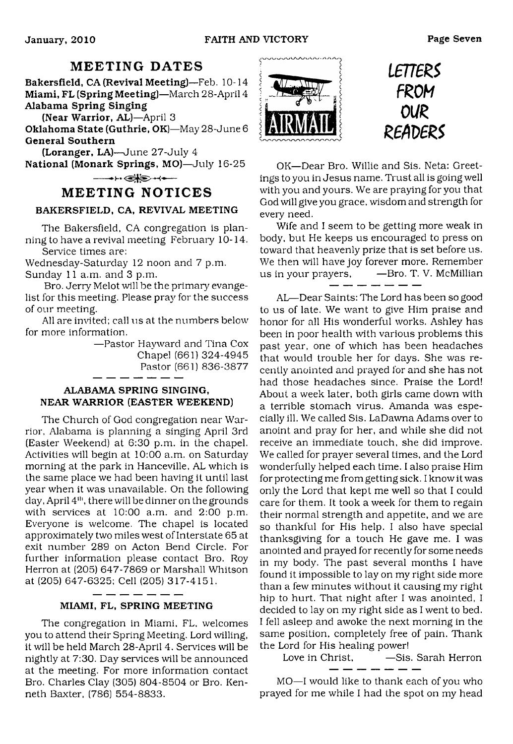# **MEETING DATES**

Bakersfield, CA (Revival Meeting)—Feb. 10-14 Miami, FL (Spring Meeting)—March 28-April 4 Alabama Spring Singing

(Near Warrior, AL)—April 3

Oklahoma State (Guthrie, OK)—May 28-June 6 General Southern

(Loranger, LA)—June 27-July 4

National (Monark Springs, MO)—July 16-25  $-++$ 

### **MEETING NOTICES**

#### BAKERSFIELD, CA, REVIVAL MEETING

The Bakersfield, CA congregation is planning to have a revival meeting February 10-14. Service times are:

Wednesday-Saturday 12 noon and 7 p.m. Sunday 11 a.m. and 3 p.m.

Bro. Jerry Melot will be the primary evangelist for this meeting. Please pray for the success of our meeting.

All are invited; call us at the numbers below for more information.

> —Pastor Havward and Tina Cox Chapel (661) 324-4945 Pastor (661) 836-3877

#### ALABAMA SPRING SINGING, NEAR WARRIOR (EASTER WEEKEND)

The Church of God congregation near Warrior, Alabama is planning a singing April 3rd (Easter Weekend) at 6:30 p.m. in the chapel. Activities will begin at 10:00 a.m. on Saturday morning at the park in Hanceville, AL which is the same place we had been having it until last year when it was unavailable. On the following day, April 4<sup>th</sup>, there will be dinner on the grounds with services at 10:00 a.m. and 2:00 p.m. Everyone is welcome. The chapel is located approximately two miles west of Interstate 65 at exit number 289 on Acton Bend Circle. For further information please contact Bro. Roy Herron at (205) 647-7869 or Marshall Whitson at (205) 647-6325; Cell (205) 317-4151.

#### $-$ MIAMI, FL, SPRING MEETING

The congregation in Miami, FL, welcomes you to attend their Spring Meeting. Lord willing, it will be held March 28-April 4. Services will be nightly at 7:30. Day services will be announced at the meeting. For more information contact Bro. Charles Clay (305) 804-8504 or Bro. Kenneth Baxter, (786) 554-8833.



*mens FROM* **0U£** *Z6AVE&*

OK—Dear Bro. Willie and Sis. Neta: Greetings to you in Jesus name. Trust all is going well with you and yours. We are praying for you that God will give you grace, wisdom and strength for every need.

Wife and I seem to be getting more weak in body, but He keeps us encouraged to press on toward that heavenly prize that is set before us. We then will have joy forever more. Remember us in your prayers,  $\qquad$  -Bro. T. V. McMillian

AL—Dear Saints: The Lord has been so good to us of late. We want to give Him praise and honor for all His wonderful works. Ashley has been in poor health with various problems this past year, one of which has been headaches that would trouble her for days. She was recently anointed and prayed for and she has not had those headaches since. Praise the Lord! About a week later, both girls came down with a terrible stomach virus. Amanda was especially ill. We called Sis. LaDawna Adams over to anoint and pray for her, and while she did not receive an immediate touch, she did improve. We called for prayer several times, and the Lord wonderfully helped each time. I also praise Him for protecting me from getting sick. I know it was only the Lord that kept me well so that I could care for them. It took a week for them to regain their normal strength and appetite, and we are so thankful for His help. I also have special thanksgiving for a touch He gave me. I was anointed and prayed for recently for some needs in my body. The past several months I have found it impossible to lay on my right side more than a few minutes without it causing my right hip to hurt. That night after I was anointed, I decided to lay on my right side as I went to bed. I fell asleep and awoke the next morning in the same position, completely free of pain. Thank the Lord for His healing power!

Love in Christ,  $-$ Sis. Sarah Herron

MO—I would like to thank each of you who prayed for me while I had the spot on my head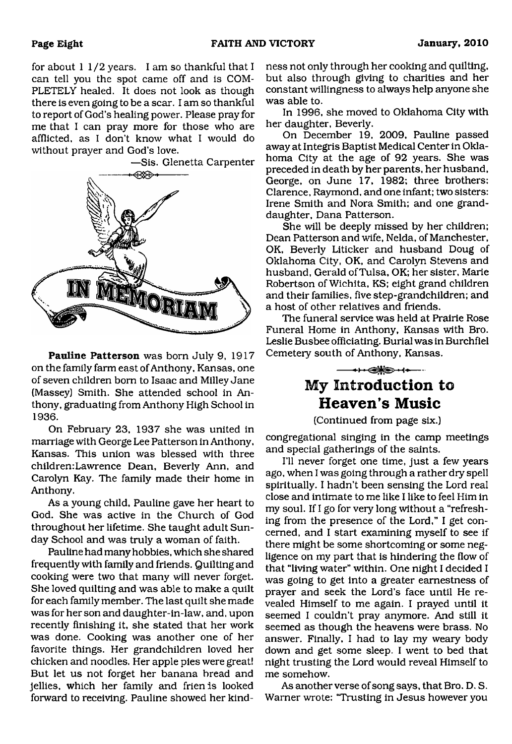for about 11/2 years. I am so thankful that I can tell you the spot came off and is COM-PLETELY healed. It does not look as though there is even going to be a scar. I am so thankful to report of God's healing power. Please pray for me that I can pray more for those who are afflicted, as I don't know what I would do without prayer and God's love.

—Sis. Glenetta Carpenter



**Pauline Patterson** was born July 9, 1917 on the family farm east of Anthony, Kansas, one of seven children bom to Isaac and Milley Jane (Massey) Smith. She attended school in Anthony, graduating from Anthony High School in 1936.

On February 23, 1937 she was united in marriage with George Lee Patterson in Anthony, Kansas. This union was blessed with three children:Lawrence Dean, Beverly Ann, and Carolyn Kay. The family made their home in Anthony.

As a young child, Pauline gave her heart to God. She was active in the Church of God throughout her lifetime. She taught adult Sunday School and was truly a woman of faith.

Pauline had many hobbies, which she shared frequently with family and friends. Quilting and cooking were two that many will never forget. She loved quilting and was able to make a quilt for each family member. The last quilt she made was for her son and daughter-in-law, and, upon recently finishing it, she stated that her work was done. Cooking was another one of her favorite things. Her grandchildren loved her chicken and noodles. Her apple pies were great! But let us not forget her banana bread and jellies, which her family and frien is looked forward to receiving. Pauline showed her kind-

ness not only through her cooking and quilting, but also through giving to charities and her constant willingness to always help anyone she was able to.

In 1996, she moved to Oklahoma City with her daughter, Beverly.

On December 19, 2009, Pauline passed away at Integris Baptist Medical Center in Oklahoma City at the age of 92 years. She was preceded in death by her parents, her husband, George, on June 17, 1982; three brothers: Clarence, Raymond, and one infant; two sisters: Irene Smith and Nora Smith; and one granddaughter, Dana Patterson.

She will be deeply missed by her children; Dean Patterson and wife, Nelda, of Manchester, OK, Beverly Liticker and husband Doug of Oklahoma City, OK, and Carolyn Stevens and husband, Gerald of Tulsa, OK; her sister, Marie Robertson of Wichita, KS; eight grand children and their families, five step-grandchildren; and a host of other relatives and friends.

The funeral service was held at Prairie Rose Funeral Home in Anthony, Kansas with Bro. Leslie Busbee officiating. Burial was in Burchfiel Cemetery south of Anthony, Kansas.

> $-++$ **My Introduction to Heaven's Music**

(Continued from page six.)

congregational singing in the camp meetings and special gatherings of the saints.

I'll never forget one time, just a few years ago, when I was going through a rather dry spell spiritually. I hadn't been sensing the Lord real close and intimate to me like I like to feel Him in my soul. If I go for very long without a "refreshing from the presence of the Lord," I get concerned, and I start examining myself to see if there might be some shortcoming or some negligence on my part that is hindering the flow of that "living water" within. One night I decided I was going to get into a greater earnestness of prayer and seek the Lord's face until He revealed Himself to me again. I prayed until it seemed I couldn't pray anymore. And still it seemed as though the heavens were brass. No answer. Finally, I had to lay my weary body down and get some sleep. I went to bed that night trusting the Lord would reveal Himself to me somehow.

As another verse of song says, that Bro. D. S. Warner wrote: 'Trusting in Jesus however you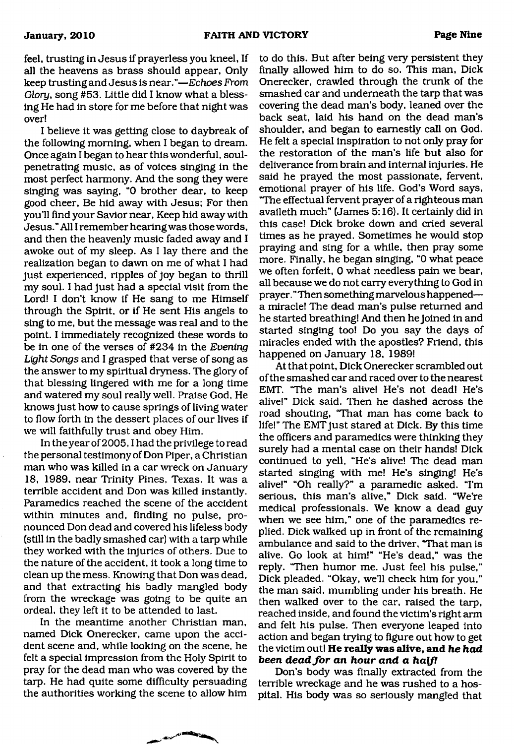feel, trusting in Jesus if prayerless you kneel. If all the heavens as brass should appear, Only keep trusting and Jesus is near*."—Echoes From Glory,* song #53. Little did I know what a blessing He had in store for me before that night was over!

I believe it was getting close to daybreak of the following morning, when I began to dream. Once again I began to hear this wonderful, soulpenetrating music, as of voices singing in the most perfect harmony. And the song they were singing was saying, "0 brother dear, to keep good cheer, Be hid away with Jesus; For then you'll find your Savior near, Keep hid away with Jesus." All I remember hearing was those words, and then the heavenly music faded away and I awoke out of my sleep. As I lay there and the realization began to dawn on me of what I had just experienced, ripples of joy began to thrill my soul. I had just had a special visit from the Lord! I don't know if He sang to me Himself through the Spirit, or if He sent His angels to sing to me, but the message was real and to the point. I immediately recognized these words to be in one of the verses of #234 in the *Evening Light Songs* and I grasped that verse of song as the answer to my spiritual dryness. The glory of that blessing lingered with me for a long time and watered my soul really well. Praise God, He knows just how to cause springs of living water to flow forth in the dessert places of our lives if we will faithfully trust and obey Him.

In the year of 2005, I had the privilege to read the personal testimony of Don Piper, a Christian man who was killed in a car wreck on January 18, 1989, near Trinity Pines, Texas. It was a terrible accident and Don was killed instantly. Paramedics reached the scene of the accident within minutes and, finding no pulse, pronounced Don dead and covered his lifeless body (still in the badly smashed car) with a tarp while they worked with the injuries of others. Due to the nature of the accident, it took a long time to clean up the mess. Knowing that Don was dead, and that extracting his badly mangled body from the wreckage was going to be quite an ordeal, they left it to be attended to last.

In the meantime another Christian man, named Dick Onerecker, came upon the accident scene and, while looking on the scene, he felt a special impression from the Holy Spirit to pray for the dead man who was covered by the tarp. He had quite some difficulty persuading the authorities working the scene to allow him

to do this. But after being very persistent they finally allowed him to do so. This man, Dick Onerecker, crawled through the trunk of the smashed car and underneath the tarp that was covering the dead man's body, leaned over the back seat, laid his hand on the dead man's shoulder, and began to earnestly call on God. He felt a special inspiration to not only pray for the restoration of the man's life but also for deliverance from brain and internal injuries. He said he prayed the most passionate, fervent, emotional prayer of his life. God's Word says, "The effectual fervent prayer of a righteous man availeth much" (James 5:16). It certainly did in this case! Dick broke down and cried several times as he prayed. Sometimes he would stop praying and sing for a while, then pray some more. Finally, he began singing, "0 what peace we often forfeit, 0 what needless pain we bear, all because we do not carry everything to God in prayer. " Then something marvelous happened a miracle! The dead man's pulse returned and he started breathing! And then he joined in and started singing too! Do you say the days of miracles ended with the apostles? Friend, this happened on January 18, 1989!

At that point, Dick Onerecker scrambled out of the smashed car and raced over to the nearest EMT. "The man's alive! He's not dead! He's alive!" Dick said. Then he dashed across the road shouting, "That man has come back to life!" The EMT just stared at Dick. By this time the officers and paramedics were thinking they surely had a mental case on their hands! Dick continued to yell, "He's alive! The dead man started singing with me! He's singing! He's alive!" "Oh really?" a paramedic asked. "I'm serious, this man's alive," Dick said. "We're medical professionals. We know a dead guy when we see him," one of the paramedics replied. Dick walked up in front of the remaining ambulance and said to the driver, "That man is alive. Go look at him!" "He's dead," was the reply. "Then humor me. Just feel his pulse," Dick pleaded. "Okay, we'll check him for you," the man said, mumbling under his breath. He then walked over to the car, raised the tarp, reached inside, and found the victim's right arm and felt his pulse. Then everyone leaped into action and began trying to figure out how to get the victim out! **He really was alive, and** *he had been dead for an hour and a half!* 

Don's body was finally extracted from the terrible wreckage and he was rushed to a hospital. His body was so seriously mangled that

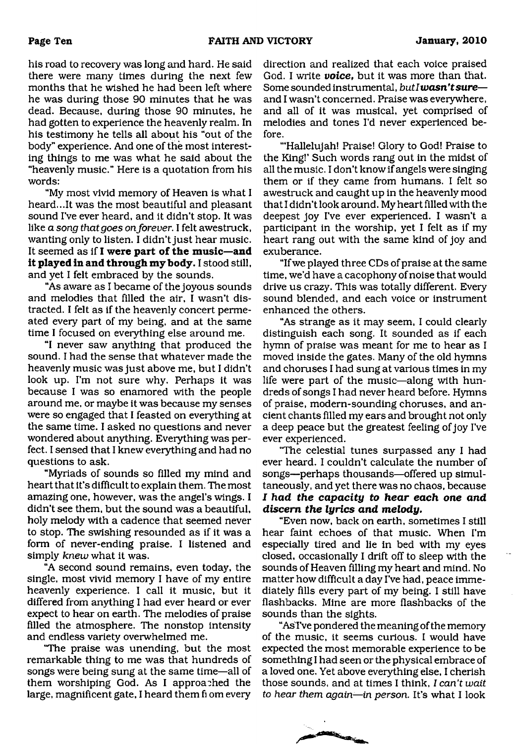his road to recovery was long and hard. He said there were many times during the next few months that he wished he had been left where he was during those 90 minutes that he was dead. Because, during those 90 minutes, he had gotten to experience the heavenly realm. In his testimony he tells all about his "out of the body" experience. And one of the most interesting things to me was what he said about the "heavenly music." Here is a quotation from his words:

"My most vivid memory of Heaven is what I heard...It was the most beautiful and pleasant sound I've ever heard, and it didn't stop. It was like *a song that goes on forever.* I felt awestruck, wanting only to listen. I didn't just hear music. It seemed as if **I were part of the music—and it played in and through my body.** I stood still, and yet I felt embraced by the sounds.

"As aware as I became of the joyous sounds and melodies that filled the air, I wasn't distracted. I felt as if the heavenly concert permeated every part of my being, and at the same time I focused on everything else around me.

"I never saw anything that produced the sound. I had the sense that whatever made the heavenly music was just above me, but I didn't look up. I'm not sure why. Perhaps it was because I was so enamored with the people around me, or maybe it was because my senses were so engaged that I feasted on everything at the same time. I asked no questions and never wondered about anything. Everything was perfect. I sensed that I knew everything and had no questions to ask.

"Myriads of sounds so filled my mind and heart that it's difficult to explain them. The most amazing one, however, was the angel's wings. I didn't see them, but the sound was a beautiful, holy melody with a cadence that seemed never to stop. The swishing resounded as if it was a form of never-ending praise. I listened and simply *knew* what it was.

"A second sound remains, even today, the single, most vivid memory I have of my entire heavenly experience. I call it music, but it differed from anything I had ever heard or ever expect to hear on earth. The melodies of praise filled the atmosphere. The nonstop intensity and endless variety overwhelmed me.

"The praise was unending, but the most remarkable thing to me was that hundreds of songs were being sung at the same time—all of them worshiping God. As I approached the large, magnificent gate, I heard them fi om every

direction and realized that each voice praised God. I write *voice*, but it was more than that. Some sounded instrumental, *butlwasn'tsure* and I wasn't concerned. Praise was everywhere, and all of it was musical, yet comprised of melodies and tones I'd never experienced before.

"'Hallelujah! Praise! Glory to God! Praise to the King!' Such words rang out in the midst of all the music. I don't know if angels were singing them or if they came from humans. I felt so awestruck and caught up in the heavenly mood that I didn't look around. My heart filled with the deepest joy I've ever experienced. I wasn't a participant in the worship, yet I felt as if my heart rang out with the same kind of joy and exuberance.

"If we played three CDs of praise at the same time, we'd have a cacophony of noise that would drive us crazy. This was totally different. Every sound blended, and each voice or instrument enhanced the others.

"As strange as it may seem, I could clearly distinguish each song. It sounded as if each hymn of praise was meant for me to hear as I moved inside the gates. Many of the old hymns and choruses I had sung at various times in my life were part of the music—along with hundreds of songs I had never heard before. Hymns of praise, modern-sounding choruses, and ancient chants filled my ears and brought not only a deep peace but the greatest feeling of joy I've ever experienced.

"The celestial tunes surpassed any I had ever heard. I couldn't calculate the number of songs—perhaps thousands—offered up simultaneously, and yet there was no chaos, because *I had the capacity to hear each one and discern the lyrics and melody.*

"Even now, back on earth, sometimes I still hear faint echoes of that music. When I'm especially tired and lie in bed with my eyes closed, occasionally I drift off to sleep with the sounds of Heaven filling my heart and mind. No matter how difficult a day I've had, peace immediately fills every part of my being. I still have flashbacks. Mine are more flashbacks of the sounds than the sights.

"AsTve pondered the meaning of the memory of the music, it seems curious. I would have expected the most memorable experience to be something I had seen or the physical embrace of a loved one. Yet above everything else, I cherish those sounds, and at times I think, *I can't wait to hear them again—in person.* It's what I look

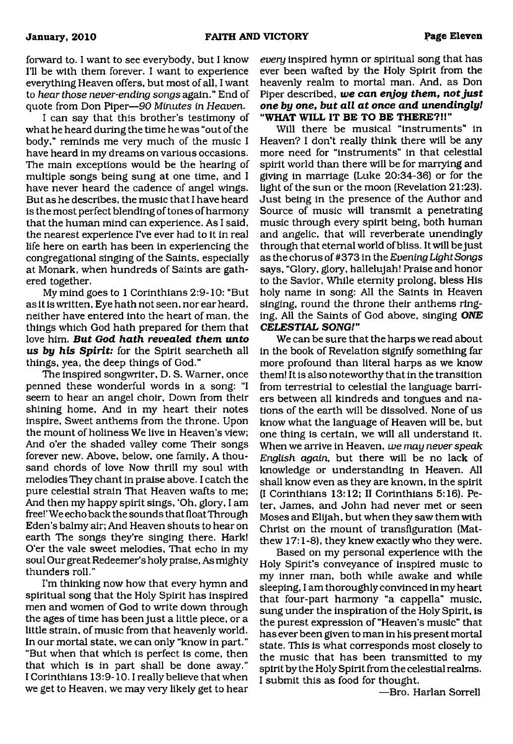forward to. I want to see everybody, but I know I'll be with them forever. I want to experience everything Heaven offers, but most of all, I want to *hear those never-ending songs* again." End of quote from Don Piper—*90 Minutes in Heaven.*

I can say that this brother's testimony of what he heard during the time he was "out of the body," reminds me very much of the music I have heard in my dreams on various occasions. The main exceptions would be the hearing of multiple songs being sung at one time, and I have never heard the cadence of angel wings. But as he describes, the music that I have heard is the most perfect blending of tones of harmony that the human mind can experience. As I said, the nearest experience I've ever had to it in real life here on earth has been in experiencing the congregational singing of the Saints, especially at Monark, when hundreds of Saints are gathered together.

My mind goes to 1 Corinthians 2:9-10: "But as it is written. Eye hath not seen, nor ear heard, neither have entered into the heart of man, the things which God hath prepared for them that love him. *But God hath revealed them unto us by his Spirit:* for the Spirit searcheth all things, yea, the deep things of God."

The inspired songwriter, D. S. Warner, once penned these wonderful words in a song: "I seem to hear an angel choir, Down from their shining home, And in my heart their notes inspire, Sweet anthems from the throne. Upon the mount of holiness We live in Heaven's view; And o'er the shaded valley come Their songs forever new. Above, below, one family, A thousand chords of love Now thrill my soul with melodies They chant in praise above. I catch the pure celestial strain That Heaven wafts to me; And then my happy spirit sings, 'Oh, glory, I am free!' We echo back the sounds that float Through Eden's balmy air; And Heaven shouts to hear on earth The songs they're singing there. Hark! O'er the vale sweet melodies. That echo in my soul Our great Redeemer's holy praise, As mighty thunders roll."

I'm thinking now how that every hymn and spiritual song that the Holy Spirit has inspired men and women of God to write down through the ages of time has been just a little piece, or a little strain, of music from that heavenly world. In our mortal state, we cam only "know in part." "But when that which is perfect is come, then that which is in part shall be done away." I Corinthians 13:9-10.1 really believe that when we get to Heaven, we may very likely get to hear

*every* inspired hymn or spiritual song that has ever been wafted by the Holy Spirit from the heavenly realm to mortal man. And, as Don Piper described, *we can enjoy them***,** *not just one by one, but all at once and unendinglyl* **"WHAT WILL IT BE TO BE THERE?!!"**

Will there be musical "instruments" in Heaven? I don't really think there will be any more need for "instruments" in that celestial spirit world than there will be for marrying and giving in marriage (Luke 20:34-36) or for the light of the sun or the moon (Revelation 21:23). Just being in the presence of the Author and Source of music will transmit a penetrating music through every spirit being, both human and angelic, that will reverberate unendingly through that eternal world of bliss. It will be just as the chorus of #373 in the *Evening Light Songs* says, "Glory, glory, hallelujah! Praise and honor to the Savior, While eternity prolong, bless His holy name in song: All the Saints in Heaven singing, round the throne their anthems ringing, All the Saints of God above, singing *ONE CELESTIAL SONG!"*

We can be sure that the harps we read about in the book of Revelation signify something far more profound than literal harps as we know them! It is also noteworthy that in the transition from terrestrial to celestial the language barriers between all kindreds and tongues and nations of the earth will be dissolved. None of us know what the language of Heaven will be, but one thing is certain, we will all understand it. When we arrive in Heaven, *we may never speak English again,* but there will be no lack of knowledge or understanding in Heaven. All shall know even as they are known, in the spirit (I Corinthians 13:12; II Corinthians 5:16). Peter, James, and John had never met or seen Moses and Elijah, but when they saw them with Christ on the mount of transfiguration (Matthew 17:1-8), they knew exactly who they were.

Based on my personal experience with the Holy Spirit's conveyance of inspired music to my inner man, both while awake and while sleeping, I am thoroughly convinced in my heart that four-part harmony "a cappella" music, sung under the inspiration of the Holy Spirit, is the purest expression of "Heaven's music" that has ever been given to man in his present mortal state. This is what corresponds most closely to the music that has been transmitted to my spirit by the Holy Spirit from the celestial realms. I submit this as food for thought.

—Bro. Harlan Sorrell